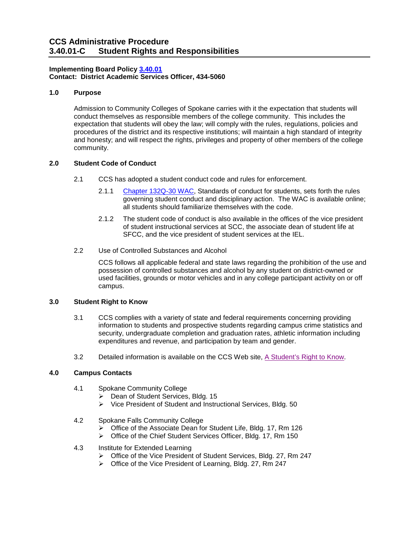## **Implementing Board Policy [3.40.01](https://ccs.spokane.edu/About-Us/Leadership/Board-of-Trustees/Policies-Procedures/Chapter3#AccWE2-4)  Contact: District Academic Services Officer, 434-5060**

### **1.0 Purpose**

 expectation that students will obey the law; will comply with the rules, regulations, policies and and honesty; and will respect the rights, privileges and property of other members of the college Admission to Community Colleges of Spokane carries with it the expectation that students will conduct themselves as responsible members of the college community. This includes the procedures of the district and its respective institutions; will maintain a high standard of integrity community.

## **2.0 Student Code of Conduct**

- 2.1 CCS has adopted a student conduct code and rules for enforcement.
	- 2.1.1 [Chapter 132Q-30 WAC,](http://apps.leg.wa.gov/WAC/default.aspx?cite=132Q-30) Standards of conduct for students, sets forth the rules governing student conduct and disciplinary action. The WAC is available online; all students should familiarize themselves with the code.
	- 2.1.2 The student code of conduct is also available in the offices of the vice president of student instructional services at SCC, the associate dean of student life at SFCC, and the vice president of student services at the IEL.
- 2.2 Use of Controlled Substances and Alcohol

 possession of controlled substances and alcohol by any student on district-owned or CCS follows all applicable federal and state laws regarding the prohibition of the use and used facilities, grounds or motor vehicles and in any college participant activity on or off campus.

#### **3.0 Student Right to Know**

- 3.1 CCS complies with a variety of state and federal requirements concerning providing information to students and prospective students regarding campus crime statistics and security, undergraduate completion and graduation rates, athletic information including expenditures and revenue, and participation by team and gender.
- 3.2 Detailed information is available on the CCS Web site, A Student's Right to Know.

## **4.0 Campus Contacts**

- 4.1 Spokane Community College
	- $\triangleright$  Dean of Student Services, Bldg. 15
	- Vice President of Student and Instructional Services, Bldg. 50
- 4.2 Spokane Falls Community College
	- Office of the Associate Dean for Student Life, Bldg. 17, Rm 126
	- ▶ Office of the Chief Student Services Officer, Bldg. 17, Rm 150
- 4.3 Institute for Extended Learning
	- Office of the Vice President of Student Services, Bldg. 27, Rm 247
	- Office of the Vice President of Learning, Bldg. 27, Rm 247